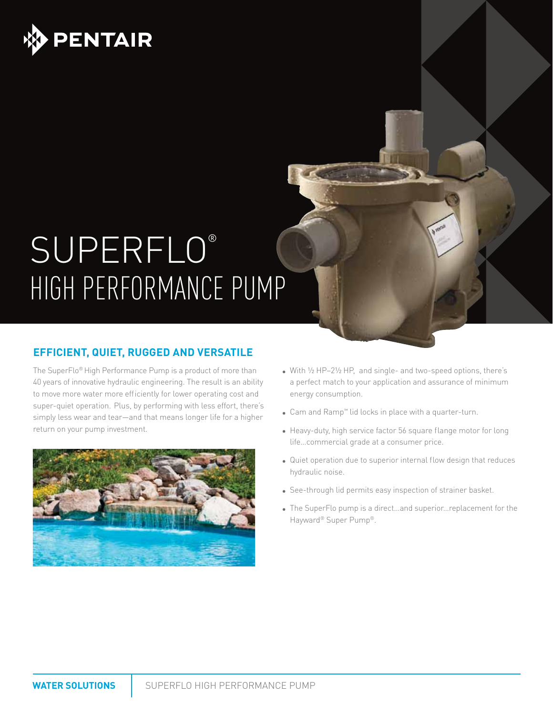

# SUPERFLO® HIGH PERFORMANCE PUMP

### **EFFICIENT, QUIET, RUGGED AND VERSATILE**

The SuperFlo® High Performance Pump is a product of more than 40 years of innovative hydraulic engineering. The result is an ability to move more water more efficiently for lower operating cost and super-quiet operation. Plus, by performing with less effort, there's simply less wear and tear—and that means longer life for a higher return on your pump investment.



- With 1/2 HP-21/2 HP, and single- and two-speed options, there's a perfect match to your application and assurance of minimum energy consumption.
- • Cam and Ramp™ lid locks in place with a quarter-turn.
- Heavy-duty, high service factor 56 square flange motor for long life…commercial grade at a consumer price.
- Quiet operation due to superior internal flow design that reduces hydraulic noise.
- See-through lid permits easy inspection of strainer basket.
- The SuperFlo pump is a direct...and superior...replacement for the Hayward® Super Pump®.